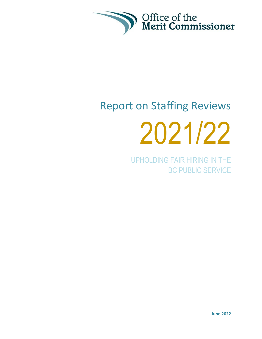

# Report on Staffing Reviews 2021/22

UPHOLDING FAIR HIRING IN THE BC PUBLIC SERVICE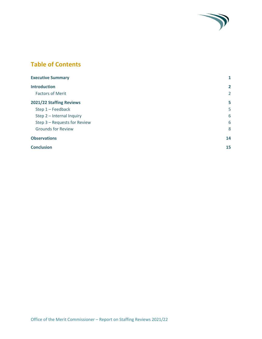# **Table of Contents**

| <b>Executive Summary</b>     | 1              |
|------------------------------|----------------|
| <b>Introduction</b>          | $\overline{2}$ |
| <b>Factors of Merit</b>      | $\overline{2}$ |
| 2021/22 Staffing Reviews     | 5              |
| Step $1 -$ Feedback          | 5              |
| Step 2 - Internal Inquiry    | 6              |
| Step 3 - Requests for Review | 6              |
| <b>Grounds for Review</b>    | 8              |
| <b>Observations</b>          | 14             |
| <b>Conclusion</b>            | 15             |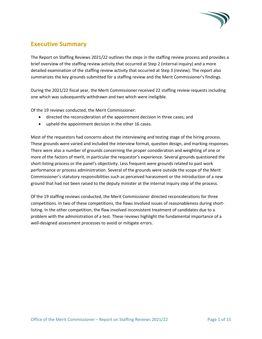

# <span id="page-2-0"></span>**Executive Summary**

The Report on Staffing Reviews 2021/22 outlines the steps in the staffing review process and provides a brief overview of the staffing review activity that occurred at Step 2 (internal inquiry) and a more detailed examination of the staffing review activity that occurred at Step 3 (review). The report also summarizes the key grounds submitted for a staffing review and the Merit Commissioner's findings.

During the 2021/22 fiscal year, the Merit Commissioner received 22 staffing review requests including one which was subsequently withdrawn and two which were ineligible.

Of the 19 reviews conducted, the Merit Commissioner:

- directed the reconsideration of the appointment decision in three cases; and
- upheld the appointment decision in the other 16 cases.

Most of the requestors had concerns about the interviewing and testing stage of the hiring process. These grounds were varied and included the interview format, question design, and marking responses. There were also a number of grounds concerning the proper consideration and weighting of one or more of the factors of merit, in particular the requestor's experience. Several grounds questioned the short-listing process or the panel's objectivity. Less frequent were grounds related to past work performance or process administration. Several of the grounds were outside the scope of the Merit Commissioner's statutory responsibilities such as perceived harassment or the introduction of a new ground that had not been raised to the deputy minister at the internal inquiry step of the process.

Of the 19 staffing reviews conducted, the Merit Commissioner directed reconsiderations for three competitions. In two of these competitions, the flaws involved issues of reasonableness during shortlisting. In the other competition, the flaw involved inconsistent treatment of candidates due to a problem with the administration of a test. These reviews highlight the fundamental importance of a well-designed assessment processes to avoid or mitigate errors.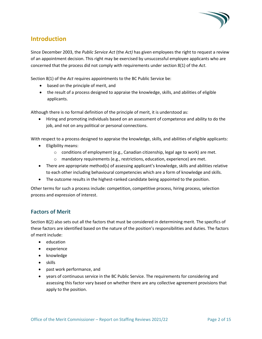

# <span id="page-3-0"></span>**Introduction**

Since December 2003, the *Public Service Act* (the *Act)* has given employees the right to request a review of an appointment decision. This right may be exercised by unsuccessful employee applicants who are concerned that the process did not comply with requirements under section 8(1) of the *Act*.

Section 8(1) of the *Act* requires appointments to the BC Public Service be:

- based on the principle of merit, and
- the result of a process designed to appraise the knowledge, skills, and abilities of eligible applicants.

Although there is no formal definition of the principle of merit, it is understood as:

• Hiring and promoting individuals based on an assessment of competence and ability to do the job, and not on any political or personal connections.

With respect to a process designed to appraise the knowledge, skills, and abilities of eligible applicants:

- Eligibility means:
	- $\circ$  conditions of employment (e.g., Canadian citizenship, legal age to work) are met.
	- o mandatory requirements (e.g., restrictions, education, experience) are met.
- There are appropriate method(s) of assessing applicant's knowledge, skills and abilities relative to each other including behavioural competencies which are a form of knowledge and skills.
- The outcome results in the highest-ranked candidate being appointed to the position.

Other terms for such a process include: competition, competitive process, hiring process, selection process and expression of interest.

### <span id="page-3-1"></span>**Factors of Merit**

Section 8(2) also sets out all the factors that must be considered in determining merit. The specifics of these factors are identified based on the nature of the position's responsibilities and duties. The factors of merit include:

- education
- experience
- knowledge
- skills
- past work performance, and
- years of continuous service in the BC Public Service. The requirements for considering and assessing this factor vary based on whether there are any collective agreement provisions that apply to the position.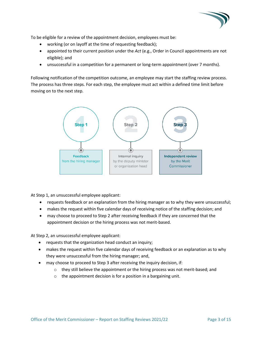

To be eligible for a review of the appointment decision, employees must be:

- working (or on layoff at the time of requesting feedback);
- appointed to their current position under the *Act* (e.g., Order in Council appointments are not eligible); and
- unsuccessful in a competition for a permanent or long-term appointment (over 7 months).

Following notification of the competition outcome, an employee may start the staffing review process. The process has three steps. For each step, the employee must act within a defined time limit before moving on to the next step.



At Step 1, an unsuccessful employee applicant:

- requests feedback or an explanation from the hiring manager as to why they were unsuccessful;
- makes the request within five calendar days of receiving notice of the staffing decision; and
- may choose to proceed to Step 2 after receiving feedback if they are concerned that the appointment decision or the hiring process was not merit-based.

At Step 2, an unsuccessful employee applicant:

- requests that the organization head conduct an inquiry;
- makes the request within five calendar days of receiving feedback or an explanation as to why they were unsuccessful from the hiring manager; and,
- may choose to proceed to Step 3 after receiving the inquiry decision, if:
	- $\circ$  they still believe the appointment or the hiring process was not merit-based; and
	- o the appointment decision is for a position in a bargaining unit.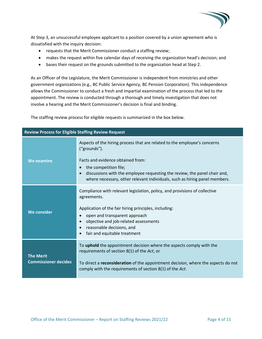

At Step 3, an unsuccessful employee applicant to a position covered by a union agreement who is dissatisfied with the inquiry decision:

- requests that the Merit Commissioner conduct a staffing review;
- makes the request within five calendar days of receiving the organization head's decision; and
- bases their request on the grounds submitted to the organization head at Step 2.

As an Officer of the Legislature, the Merit Commissioner is independent from ministries and other government organizations (e.g., BC Public Service Agency, BC Pension Corporation). This independence allows the Commissioner to conduct a fresh and impartial examination of the process that led to the appointment. The review is conducted through a thorough and timely investigation that does not involve a hearing and the Merit Commissioner's decision is final and binding.

The staffing review process for eligible requests is summarized in the box below.

| <b>Review Process for Eligible Staffing Review Request</b> |                                                                                                                                                                                                                                                                                                                                               |  |
|------------------------------------------------------------|-----------------------------------------------------------------------------------------------------------------------------------------------------------------------------------------------------------------------------------------------------------------------------------------------------------------------------------------------|--|
| <b>We examine</b>                                          | Aspects of the hiring process that are related to the employee's concerns<br>("grounds").<br>Facts and evidence obtained from:<br>the competition file;<br>$\bullet$<br>discussions with the employee requesting the review, the panel chair and,<br>$\bullet$<br>where necessary, other relevant individuals, such as hiring panel members.  |  |
| We consider                                                | Compliance with relevant legislation, policy, and provisions of collective<br>agreements.<br>Application of the fair hiring principles, including:<br>open and transparent approach<br>$\bullet$<br>objective and job-related assessments<br>$\bullet$<br>reasonable decisions, and<br>$\bullet$<br>fair and equitable treatment<br>$\bullet$ |  |
| <b>The Merit</b><br><b>Commissioner decides</b>            | To uphold the appointment decision where the aspects comply with the<br>requirements of section 8(1) of the Act, or<br>To direct a reconsideration of the appointment decision, where the aspects do not<br>comply with the requirements of section 8(1) of the Act.                                                                          |  |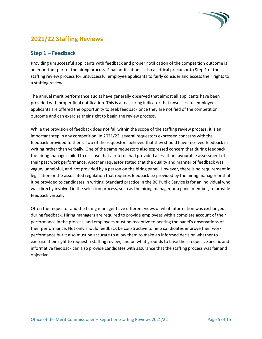

# <span id="page-6-0"></span>**2021/22 Staffing Reviews**

#### <span id="page-6-1"></span>**Step 1 – Feedback**

Providing unsuccessful applicants with feedback and proper notification of the competition outcome is an important part of the hiring process. Final notification is also a critical precursor to Step 1 of the staffing review process for unsuccessful employee applicants to fairly consider and access their rights to a staffing review.

The annual merit performance audits have generally observed that almost all applicants have been provided with proper final notification. This is a reassuring indicator that unsuccessful employee applicants are offered the opportunity to seek feedback once they are notified of the competition outcome and can exercise their right to begin the review process.

While the provision of feedback does not fall within the scope of the staffing review process, it is an important step in any competition. In 2021/22, several requestors expressed concerns with the feedback provided to them. Two of the requestors believed that they should have received feedback in writing rather than verbally. One of the same requestors also expressed concern that during feedback the hiring manager failed to disclose that a referee had provided a less than favourable assessment of their past work performance. Another requestor stated that the quality and manner of feedback was vague, unhelpful, and not provided by a person on the hiring panel. However, there is no requirement in legislation or the associated regulation that requires feedback be provided by the hiring manager or that it be provided to candidates in writing. Standard practice in the BC Public Service is for an individual who was directly involved in the selection process, such as the hiring manager or a panel member, to provide feedback verbally.

Often the requestor and the hiring manager have different views of what information was exchanged during feedback. Hiring managers are required to provide employees with a complete account of their performance in the process, and employees must be receptive to hearing the panel's observations of their performance. Not only should feedback be constructive to help candidates improve their work performance but it also must be accurate to allow them to make an informed decision whether to exercise their right to request a staffing review, and on what grounds to base their request. Specific and informative feedback can also provide candidates with assurance that the staffing process was fair and objective.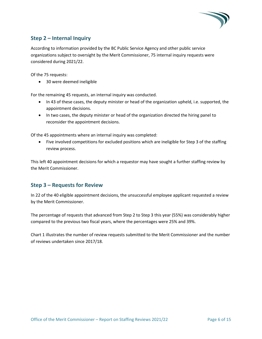

## <span id="page-7-0"></span>**Step 2 – Internal Inquiry**

According to information provided by the BC Public Service Agency and other public service organizations subject to oversight by the Merit Commissioner, 75 internal inquiry requests were considered during 2021/22.

Of the 75 requests:

• 30 were deemed ineligible

For the remaining 45 requests, an internal inquiry was conducted.

- In 43 of these cases, the deputy minister or head of the organization upheld, i.e. supported, the appointment decisions.
- In two cases, the deputy minister or head of the organization directed the hiring panel to reconsider the appointment decisions.

Of the 45 appointments where an internal inquiry was completed:

• Five involved competitions for excluded positions which are ineligible for Step 3 of the staffing review process.

This left 40 appointment decisions for which a requestor may have sought a further staffing review by the Merit Commissioner.

#### <span id="page-7-1"></span>**Step 3 – Requests for Review**

In 22 of the 40 eligible appointment decisions, the unsuccessful employee applicant requested a review by the Merit Commissioner.

The percentage of requests that advanced from Step 2 to Step 3 this year (55%) was considerably higher compared to the previous two fiscal years, where the percentages were 25% and 39%.

Chart 1 illustrates the number of review requests submitted to the Merit Commissioner and the number of reviews undertaken since 2017/18.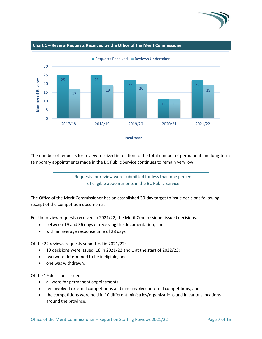



The number of requests for review received in relation to the total number of permanent and long-term temporary appointments made in the BC Public Service continues to remain very low.



The Office of the Merit Commissioner has an established 30-day target to issue decisions following receipt of the competition documents.

For the review requests received in 2021/22, the Merit Commissioner issued decisions:

- between 19 and 36 days of receiving the documentation; and
- with an average response time of 28 days.

Of the 22 reviews requests submitted in 2021/22:

- 19 decisions were issued, 18 in 2021/22 and 1 at the start of 2022/23;
- two were determined to be ineligible; and
- one was withdrawn.

Of the 19 decisions issued:

- all were for permanent appointments;
- ten involved external competitions and nine involved internal competitions; and
- the competitions were held in 10 different ministries/organizations and in various locations around the province.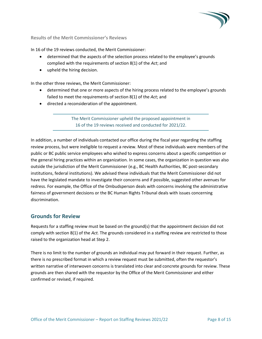

**Results of the Merit Commissioner's Reviews**

In 16 of the 19 reviews conducted, the Merit Commissioner:

- determined that the aspects of the selection process related to the employee's grounds complied with the requirements of section 8(1) of the *Act*; and
- upheld the hiring decision.

In the other three reviews, the Merit Commissioner:

- determined that one or more aspects of the hiring process related to the employee's grounds failed to meet the requirements of section 8(1) of the *Act*; and
- directed a reconsideration of the appointment.

The Merit Commissioner upheld the proposed appointment in 16 of the 19 reviews received and conducted for 2021/22.

In addition, a number of individuals contacted our office during the fiscal year regarding the staffing review process, but were ineligible to request a review. Most of these individuals were members of the public or BC public service employees who wished to express concerns about a specific competition or the general hiring practices within an organization. In some cases, the organization in question was also outside the jurisdiction of the Merit Commissioner (e.g., BC Health Authorities, BC post-secondary institutions, federal institutions). We advised these individuals that the Merit Commissioner did not have the legislated mandate to investigate their concerns and if possible, suggested other avenues for redress. For example, the Office of the Ombudsperson deals with concerns involving the administrative fairness of government decisions or the BC Human Rights Tribunal deals with issues concerning discrimination.

#### <span id="page-9-0"></span>**Grounds for Review**

Requests for a staffing review must be based on the ground(s) that the appointment decision did not comply with section 8(1) of the *Act.* The grounds considered in a staffing review are restricted to those raised to the organization head at Step 2.

There is no limit to the number of grounds an individual may put forward in their request. Further, as there is no prescribed format in which a review request must be submitted, often the requestor's written narrative of interwoven concerns is translated into clear and concrete grounds for review. These grounds are then shared with the requestor by the Office of the Merit Commissioner and either confirmed or revised, if required.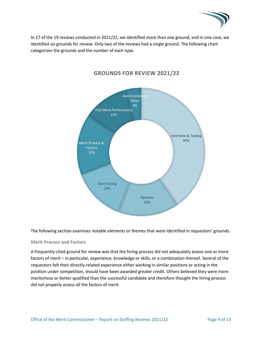

In 17 of the 19 reviews conducted in 2021/22, we identified more than one ground, and in one case, we identified six grounds for review. Only two of the reviews had a single ground. The following chart categorizes the grounds and the number of each type.



# **GROUNDS FOR REVIEW 2021/22**

The following section examines notable elements or themes that were identified in requestors' grounds.

#### **Merit Process and Factors**

A frequently-cited ground for review was that the hiring process did not adequately assess one or more factors of merit – in particular, experience, knowledge or skills, or a combination thereof. Several of the requestors felt their directly-related experience either working in similar positions or acting in the position under competition, should have been awarded greater credit. Others believed they were more meritorious or better qualified than the successful candidate and therefore thought the hiring process did not properly assess all the factors of merit.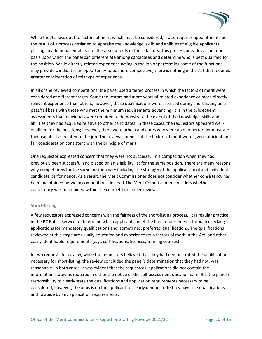

While the *Act* lays out the factors of merit which must be considered, it also requires appointments be the result of a process designed to appraise the knowledge, skills and abilities of eligible applicants, placing an additional emphasis on the assessments of these factors. This process provides a common basis upon which the panel can differentiate among candidates and determine who is best qualified for the position. While directly-related experience acting in the job or performing some of the functions may provide candidates an opportunity to be more competitive, there is nothing in the *Act* that requires greater consideration of this type of experience.

In all of the reviewed competitions, the panel used a tiered process in which the factors of merit were considered at different stages. Some requestors had more years of related experience or more directly relevant experience than others; however, these qualifications were assessed during short-listing on a pass/fail basis with those who met the minimum requirements advancing. It is in the subsequent assessments that individuals were required to demonstrate the extent of the knowledge, skills and abilities they had acquired relative to other candidates. In these cases, the requestors appeared wellqualified for the positions; however, there were other candidates who were able to better demonstrate their capabilities related to the job. The reviews found that the factors of merit were given sufficient and fair consideration consistent with the principle of merit.

One requestor expressed concern that they were not successful in a competition when they had previously been successful and placed on an eligibility list for the same position. There are many reasons why competitions for the same position vary including the strength of the applicant pool and individual candidate performance. As a result, the Merit Commissioner does not consider whether consistency has been maintained between competitions. Instead, the Merit Commissioner considers whether consistency was maintained within the competition under review.

#### **Short-listing**

A few requestors expressed concerns with the fairness of the short-listing process. It is regular practice in the BC Public Service to determine which applicants meet the basic requirements through checking applications for mandatory qualifications and, sometimes, preferred qualifications. The qualifications reviewed at this stage are usually education and experience (two factors of merit in the *Act*) and other easily identifiable requirements (e.g., certifications, licenses, training courses).

In two requests for review, while the requestors believed that they had demonstrated the qualifications necessary for short-listing, the review concluded the panel's determination that they had not, was reasonable. In both cases, it was evident that the requestors' applications did not contain the information stated as required in either the notice or the self-assessment questionnaire. It is the panel's responsibility to clearly state the qualifications and application requirements necessary to be considered; however, the onus is on the applicant to clearly demonstrate they have the qualifications and to abide by any application requirements.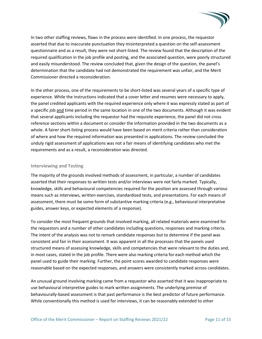

In two other staffing reviews, flaws in the process were identified. In one process, the requestor asserted that due to inaccurate punctuation they misinterpreted a question on the self-assessment questionnaire and as a result, they were not short-listed. The review found that the description of the required qualification in the job profile and posting, and the associated question, were poorly structured and easily misunderstood. The review concluded that, given the design of the question, the panel's determination that the candidate had not demonstrated the requirement was unfair, and the Merit Commissioner directed a reconsideration.

In the other process, one of the requirements to be short-listed was several years of a specific type of experience. While the instructions indicated that a cover letter and resumes were necessary to apply, the panel credited applicants with the required experience only where it was expressly stated as part of a specific job and time period in the same location in one of the two documents. Although it was evident that several applicants including the requestor had the requisite experience, the panel did not cross reference sections within a document or consider the information provided in the two documents as a whole. A fairer short-listing process would have been based on merit criteria rather than consideration of where and how the required information was presented in applications. The review concluded the unduly rigid assessment of applications was not a fair means of identifying candidates who met the requirements and as a result, a reconsideration was directed.

#### **Interviewing and Testing**

The majority of the grounds involved methods of assessment, in particular, a number of candidates asserted that their responses to written tests and/or interviews were not fairly marked. Typically, knowledge, skills and behavioural competencies required for the position are assessed through various means such as interviews, written exercises, standardized tests, and presentations. For each means of assessment, there must be some form of substantive marking criteria (e.g., behavioural interpretative guides, answer keys, or expected elements of a response).

To consider the most frequent grounds that involved marking, all related materials were examined for the requestors and a number of other candidates including questions, responses and marking criteria. The intent of the analysis was not to remark candidate responses but to determine if the panel was consistent and fair in their assessment. It was apparent in all the processes that the panels used structured means of assessing knowledge, skills and competencies that were relevant to the duties and, in most cases, stated in the job profile. There were also marking criteria for each method which the panel used to guide their marking. Further, the point scores awarded to candidate responses were reasonable based on the expected responses, and answers were consistently marked across candidates.

An unusual ground involving marking came from a requestor who asserted that it was inappropriate to use behavioural interpretive guides to mark written assignments. The underlying premise of behaviourally-based assessment is that past performance is the best predictor of future performance. While conventionally this method is used for interviews, it can be reasonably extended to other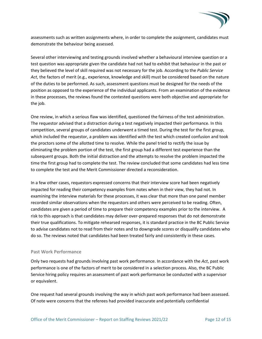

assessments such as written assignments where, in order to complete the assignment, candidates must demonstrate the behaviour being assessed.

Several other interviewing and testing grounds involved whether a behavioural interview question or a test question was appropriate given the candidate had not had to exhibit that behaviour in the past or they believed the level of skill required was not necessary for the job. According to the *Public Service Act*, the factors of merit (e.g., experience, knowledge and skill) must be considered based on the nature of the duties to be performed. As such, assessment questions must be designed for the needs of the position as opposed to the experience of the individual applicants. From an examination of the evidence in these processes, the reviews found the contested questions were both objective and appropriate for the job.

One review, in which a serious flaw was identified, questioned the fairness of the test administration. The requestor advised that a distraction during a test negatively impacted their performance. In this competition, several groups of candidates underwent a timed test. During the test for the first group, which included the requestor, a problem was identified with the test which created confusion and took the proctors some of the allotted time to resolve. While the panel tried to rectify the issue by eliminating the problem portion of the test, the first group had a different test experience than the subsequent groups. Both the initial distraction and the attempts to resolve the problem impacted the time the first group had to complete the test. The review concluded that some candidates had less time to complete the test and the Merit Commissioner directed a reconsideration.

In a few other cases, requestors expressed concerns that their interview score had been negatively impacted for reading their competency examples from notes when in their view, they had not. In examining the interview materials for these processes, it was clear that more than one panel member recorded similar observations when the requestors and others were perceived to be reading. Often, candidates are given a period of time to prepare their competency examples prior to the interview. A risk to this approach is that candidates may deliver over-prepared responses that do not demonstrate their true qualifications. To mitigate rehearsed responses, it is standard practice in the BC Public Service to advise candidates not to read from their notes and to downgrade scores or disqualify candidates who do so. The reviews noted that candidates had been treated fairly and consistently in these cases.

#### **Past Work Performance**

Only two requests had grounds involving past work performance. In accordance with the *Act*, past work performance is one of the factors of merit to be considered in a selection process. Also, the BC Public Service hiring policy requires an assessment of past work performance be conducted with a supervisor or equivalent.

One request had several grounds involving the way in which past work performance had been assessed. Of note were concerns that the referees had provided inaccurate and potentially confidential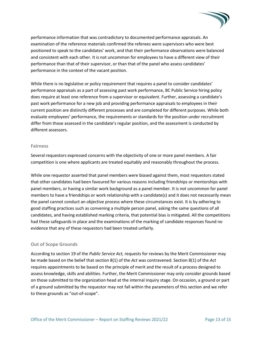

performance information that was contradictory to documented performance appraisals. An examination of the reference materials confirmed the referees were supervisors who were best positioned to speak to the candidates' work, and that their performance observations were balanced and consistent with each other. It is not uncommon for employees to have a different view of their performance than that of their supervisor, or than that of the panel who assess candidates' performance in the context of the vacant position.

While there is no legislative or policy requirement that requires a panel to consider candidates' performance appraisals as a part of assessing past work performance, BC Public Service hiring policy does require at least one reference from a supervisor or equivalent. Further, assessing a candidate's past work performance for a new job and providing performance appraisals to employees in their current position are distinctly different processes and are completed for different purposes. While both evaluate employees' performance, the requirements or standards for the position under recruitment differ from those assessed in the candidate's regular position, and the assessment is conducted by different assessors.

#### **Fairness**

Several requestors expressed concerns with the objectivity of one or more panel members. A fair competition is one where applicants are treated equitably and reasonably throughout the process.

While one requestor asserted that panel members were biased against them, most requestors stated that other candidates had been favoured for various reasons including friendships or mentorships with panel members, or having a similar work background as a panel member. It is not uncommon for panel members to have a friendships or work relationship with a candidate(s) and it does not necessarily mean the panel cannot conduct an objective process where these circumstances exist. It is by adhering to good staffing practices such as convening a multiple person panel, asking the same questions of all candidates, and having established marking criteria, that potential bias is mitigated. All the competitions had these safeguards in place and the examinations of the marking of candidate responses found no evidence that any of these requestors had been treated unfairly.

#### **Out of Scope Grounds**

According to section 19 of the *Public Service Act,* requests for reviews by the Merit Commissioner may be made based on the belief that section 8(1) of the *Act* was contravened. Section 8(1) of the *Act* requires appointments to be based on the principle of merit and the result of a process designed to assess knowledge, skills and abilities. Further, the Merit Commissioner may only consider grounds based on those submitted to the organization head at the internal inquiry stage. On occasion, a ground or part of a ground submitted by the requestor may not fall within the parameters of this section and we refer to these grounds as "out-of-scope".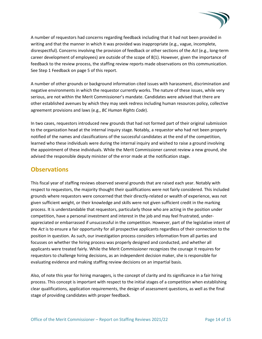

A number of requestors had concerns regarding feedback including that it had not been provided in writing and that the manner in which it was provided was inappropriate (e.g., vague, incomplete, disrespectful). Concerns involving the provision of feedback or other sections of the *Act* (e.g., long-term career development of employees) are outside of the scope of 8(1). However, given the importance of feedback to the review process, the staffing review reports made observations on this communication. See Step 1 Feedback on page 5 of this report.

A number of other grounds or background information cited issues with harassment, discrimination and negative environments in which the requestor currently works. The nature of these issues, while very serious, are not within the Merit Commissioner's mandate. Candidates were advised that there are other established avenues by which they may seek redress including human resources policy, collective agreement provisions and laws (e.g., *BC Human Rights Code*).

In two cases, requestors introduced new grounds that had not formed part of their original submission to the organization head at the internal inquiry stage. Notably, a requestor who had not been properly notified of the names and classifications of the successful candidates at the end of the competition, learned who these individuals were during the internal inquiry and wished to raise a ground involving the appointment of these individuals. While the Merit Commissioner cannot review a new ground, she advised the responsible deputy minister of the error made at the notification stage.

# <span id="page-15-0"></span>**Observations**

This fiscal year of staffing reviews observed several grounds that are raised each year. Notably with respect to requestors, the majority thought their qualifications were not fairly considered. This included grounds where requestors were concerned that their directly-related or wealth of experience, was not given sufficient weight, or their knowledge and skills were not given sufficient credit in the marking process. It is understandable that requestors, particularly those who are acting in the position under competition, have a personal investment and interest in the job and may feel frustrated, underappreciated or embarrassed if unsuccessful in the competition. However, part of the legislative intent of the *Act* is to ensure a fair opportunity for all prospective applicants regardless of their connection to the position in question. As such, our investigation process considers information from all parties and focusses on whether the hiring process was properly designed and conducted, and whether all applicants were treated fairly. While the Merit Commissioner recognizes the courage it requires for requestors to challenge hiring decisions, as an independent decision maker, she is responsible for evaluating evidence and making staffing review decisions on an impartial basis.

Also, of note this year for hiring managers, is the concept of clarity and its significance in a fair hiring process. This concept is important with respect to the initial stages of a competition when establishing clear qualifications, application requirements, the design of assessment questions, as well as the final stage of providing candidates with proper feedback.